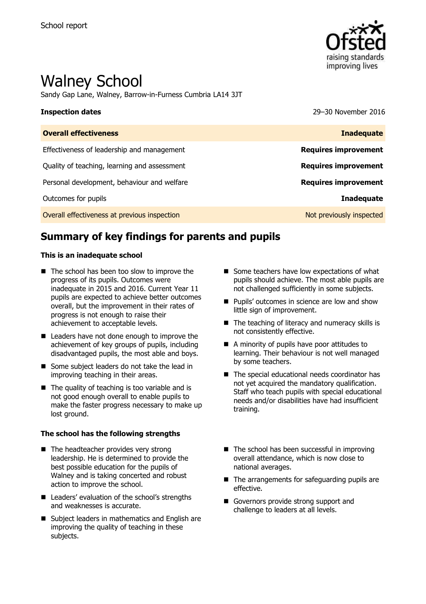

# Walney School

Sandy Gap Lane, Walney, Barrow-in-Furness Cumbria LA14 3JT

**Inspection dates** 29–30 November 2016

| <b>Overall effectiveness</b>                 | <b>Inadequate</b>           |
|----------------------------------------------|-----------------------------|
| Effectiveness of leadership and management   | <b>Requires improvement</b> |
| Quality of teaching, learning and assessment | <b>Requires improvement</b> |
| Personal development, behaviour and welfare  | <b>Requires improvement</b> |
| Outcomes for pupils                          | <b>Inadequate</b>           |
| Overall effectiveness at previous inspection | Not previously inspected    |

# **Summary of key findings for parents and pupils**

### **This is an inadequate school**

- $\blacksquare$  The school has been too slow to improve the progress of its pupils. Outcomes were inadequate in 2015 and 2016. Current Year 11 pupils are expected to achieve better outcomes overall, but the improvement in their rates of progress is not enough to raise their achievement to acceptable levels.
- Leaders have not done enough to improve the achievement of key groups of pupils, including disadvantaged pupils, the most able and boys.
- Some subject leaders do not take the lead in improving teaching in their areas.
- $\blacksquare$  The quality of teaching is too variable and is not good enough overall to enable pupils to make the faster progress necessary to make up lost ground.

### **The school has the following strengths**

- The headteacher provides very strong leadership. He is determined to provide the best possible education for the pupils of Walney and is taking concerted and robust action to improve the school.
- Leaders' evaluation of the school's strengths and weaknesses is accurate.
- Subject leaders in mathematics and English are improving the quality of teaching in these subjects.
- $\blacksquare$  Some teachers have low expectations of what pupils should achieve. The most able pupils are not challenged sufficiently in some subjects.
- **Pupils' outcomes in science are low and show** little sign of improvement.
- $\blacksquare$  The teaching of literacy and numeracy skills is not consistently effective.
- A minority of pupils have poor attitudes to learning. Their behaviour is not well managed by some teachers.
- The special educational needs coordinator has not yet acquired the mandatory qualification. Staff who teach pupils with special educational needs and/or disabilities have had insufficient training.
- The school has been successful in improving overall attendance, which is now close to national averages.
- $\blacksquare$  The arrangements for safeguarding pupils are effective.
- Governors provide strong support and challenge to leaders at all levels.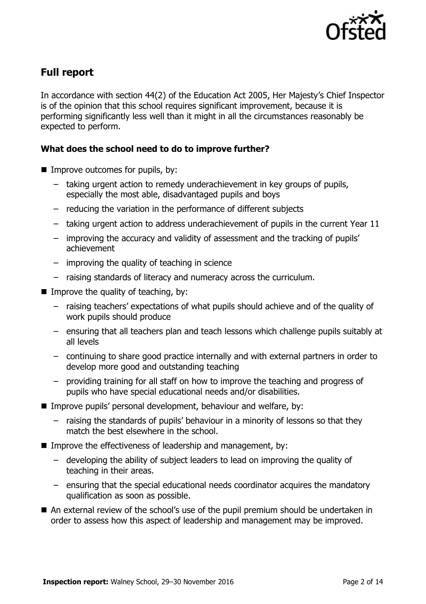

# **Full report**

In accordance with section 44(2) of the Education Act 2005, Her Majesty's Chief Inspector is of the opinion that this school requires significant improvement, because it is performing significantly less well than it might in all the circumstances reasonably be expected to perform.

### **What does the school need to do to improve further?**

- $\blacksquare$  Improve outcomes for pupils, by:
	- taking urgent action to remedy underachievement in key groups of pupils, especially the most able, disadvantaged pupils and boys
	- reducing the variation in the performance of different subjects
	- taking urgent action to address underachievement of pupils in the current Year 11
	- improving the accuracy and validity of assessment and the tracking of pupils' achievement
	- improving the quality of teaching in science
	- raising standards of literacy and numeracy across the curriculum.
- $\blacksquare$  Improve the quality of teaching, by:
	- raising teachers' expectations of what pupils should achieve and of the quality of work pupils should produce
	- ensuring that all teachers plan and teach lessons which challenge pupils suitably at all levels
	- continuing to share good practice internally and with external partners in order to develop more good and outstanding teaching
	- providing training for all staff on how to improve the teaching and progress of pupils who have special educational needs and/or disabilities.
- Improve pupils' personal development, behaviour and welfare, by:
	- raising the standards of pupils' behaviour in a minority of lessons so that they match the best elsewhere in the school.
- Improve the effectiveness of leadership and management, by:
	- developing the ability of subject leaders to lead on improving the quality of teaching in their areas.
	- ensuring that the special educational needs coordinator acquires the mandatory qualification as soon as possible.
- An external review of the school's use of the pupil premium should be undertaken in order to assess how this aspect of leadership and management may be improved.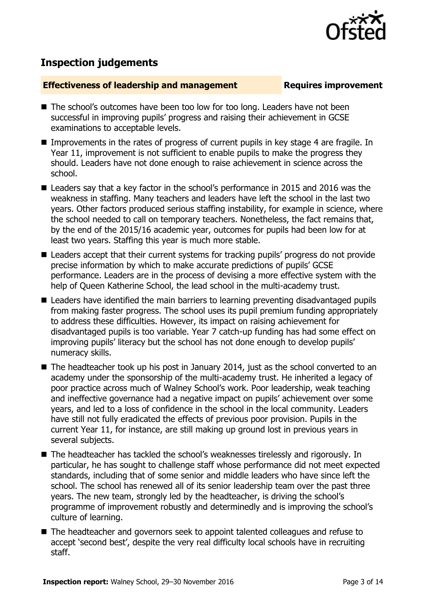

# **Inspection judgements**

### **Effectiveness of leadership and management Requires improvement**

- The school's outcomes have been too low for too long. Leaders have not been successful in improving pupils' progress and raising their achievement in GCSE examinations to acceptable levels.
- Improvements in the rates of progress of current pupils in key stage 4 are fragile. In Year 11, improvement is not sufficient to enable pupils to make the progress they should. Leaders have not done enough to raise achievement in science across the school.
- Leaders say that a key factor in the school's performance in 2015 and 2016 was the weakness in staffing. Many teachers and leaders have left the school in the last two years. Other factors produced serious staffing instability, for example in science, where the school needed to call on temporary teachers. Nonetheless, the fact remains that, by the end of the 2015/16 academic year, outcomes for pupils had been low for at least two years. Staffing this year is much more stable.
- Leaders accept that their current systems for tracking pupils' progress do not provide precise information by which to make accurate predictions of pupils' GCSE performance. Leaders are in the process of devising a more effective system with the help of Queen Katherine School, the lead school in the multi-academy trust.
- **E** Leaders have identified the main barriers to learning preventing disadvantaged pupils from making faster progress. The school uses its pupil premium funding appropriately to address these difficulties. However, its impact on raising achievement for disadvantaged pupils is too variable. Year 7 catch-up funding has had some effect on improving pupils' literacy but the school has not done enough to develop pupils' numeracy skills.
- The headteacher took up his post in January 2014, just as the school converted to an academy under the sponsorship of the multi-academy trust. He inherited a legacy of poor practice across much of Walney School's work. Poor leadership, weak teaching and ineffective governance had a negative impact on pupils' achievement over some years, and led to a loss of confidence in the school in the local community. Leaders have still not fully eradicated the effects of previous poor provision. Pupils in the current Year 11, for instance, are still making up ground lost in previous years in several subjects.
- The headteacher has tackled the school's weaknesses tirelessly and rigorously. In particular, he has sought to challenge staff whose performance did not meet expected standards, including that of some senior and middle leaders who have since left the school. The school has renewed all of its senior leadership team over the past three years. The new team, strongly led by the headteacher, is driving the school's programme of improvement robustly and determinedly and is improving the school's culture of learning.
- The headteacher and governors seek to appoint talented colleagues and refuse to accept 'second best', despite the very real difficulty local schools have in recruiting staff.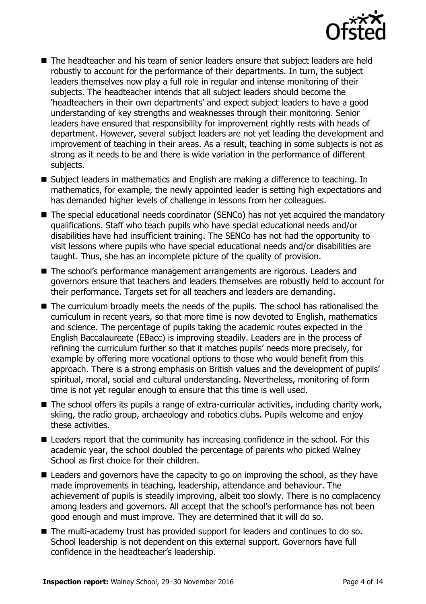

- The headteacher and his team of senior leaders ensure that subject leaders are held robustly to account for the performance of their departments. In turn, the subject leaders themselves now play a full role in regular and intense monitoring of their subjects. The headteacher intends that all subject leaders should become the 'headteachers in their own departments' and expect subject leaders to have a good understanding of key strengths and weaknesses through their monitoring. Senior leaders have ensured that responsibility for improvement rightly rests with heads of department. However, several subject leaders are not yet leading the development and improvement of teaching in their areas. As a result, teaching in some subjects is not as strong as it needs to be and there is wide variation in the performance of different subjects.
- Subject leaders in mathematics and English are making a difference to teaching. In mathematics, for example, the newly appointed leader is setting high expectations and has demanded higher levels of challenge in lessons from her colleagues.
- The special educational needs coordinator (SENCo) has not yet acquired the mandatory qualifications. Staff who teach pupils who have special educational needs and/or disabilities have had insufficient training. The SENCo has not had the opportunity to visit lessons where pupils who have special educational needs and/or disabilities are taught. Thus, she has an incomplete picture of the quality of provision.
- The school's performance management arrangements are rigorous. Leaders and governors ensure that teachers and leaders themselves are robustly held to account for their performance. Targets set for all teachers and leaders are demanding.
- The curriculum broadly meets the needs of the pupils. The school has rationalised the curriculum in recent years, so that more time is now devoted to English, mathematics and science. The percentage of pupils taking the academic routes expected in the English Baccalaureate (EBacc) is improving steadily. Leaders are in the process of refining the curriculum further so that it matches pupils' needs more precisely, for example by offering more vocational options to those who would benefit from this approach. There is a strong emphasis on British values and the development of pupils' spiritual, moral, social and cultural understanding. Nevertheless, monitoring of form time is not yet regular enough to ensure that this time is well used.
- The school offers its pupils a range of extra-curricular activities, including charity work, skiing, the radio group, archaeology and robotics clubs. Pupils welcome and enjoy these activities.
- Leaders report that the community has increasing confidence in the school. For this academic year, the school doubled the percentage of parents who picked Walney School as first choice for their children.
- Leaders and governors have the capacity to go on improving the school, as they have made improvements in teaching, leadership, attendance and behaviour. The achievement of pupils is steadily improving, albeit too slowly. There is no complacency among leaders and governors. All accept that the school's performance has not been good enough and must improve. They are determined that it will do so.
- The multi-academy trust has provided support for leaders and continues to do so. School leadership is not dependent on this external support. Governors have full confidence in the headteacher's leadership.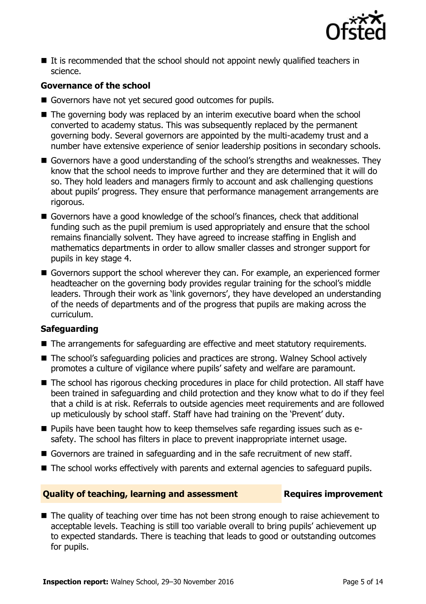

 $\blacksquare$  It is recommended that the school should not appoint newly qualified teachers in science.

### **Governance of the school**

- Governors have not yet secured good outcomes for pupils.
- The governing body was replaced by an interim executive board when the school converted to academy status. This was subsequently replaced by the permanent governing body. Several governors are appointed by the multi-academy trust and a number have extensive experience of senior leadership positions in secondary schools.
- Governors have a good understanding of the school's strengths and weaknesses. They know that the school needs to improve further and they are determined that it will do so. They hold leaders and managers firmly to account and ask challenging questions about pupils' progress. They ensure that performance management arrangements are rigorous.
- Governors have a good knowledge of the school's finances, check that additional funding such as the pupil premium is used appropriately and ensure that the school remains financially solvent. They have agreed to increase staffing in English and mathematics departments in order to allow smaller classes and stronger support for pupils in key stage 4.
- Governors support the school wherever they can. For example, an experienced former headteacher on the governing body provides regular training for the school's middle leaders. Through their work as 'link governors', they have developed an understanding of the needs of departments and of the progress that pupils are making across the curriculum.

### **Safeguarding**

- The arrangements for safeguarding are effective and meet statutory requirements.
- The school's safeguarding policies and practices are strong. Walney School actively promotes a culture of vigilance where pupils' safety and welfare are paramount.
- The school has rigorous checking procedures in place for child protection. All staff have been trained in safeguarding and child protection and they know what to do if they feel that a child is at risk. Referrals to outside agencies meet requirements and are followed up meticulously by school staff. Staff have had training on the 'Prevent' duty.
- **Pupils have been taught how to keep themselves safe regarding issues such as e**safety. The school has filters in place to prevent inappropriate internet usage.
- Governors are trained in safeguarding and in the safe recruitment of new staff.
- The school works effectively with parents and external agencies to safeguard pupils.

### **Quality of teaching, learning and assessment Requires improvement**

■ The quality of teaching over time has not been strong enough to raise achievement to acceptable levels. Teaching is still too variable overall to bring pupils' achievement up to expected standards. There is teaching that leads to good or outstanding outcomes for pupils.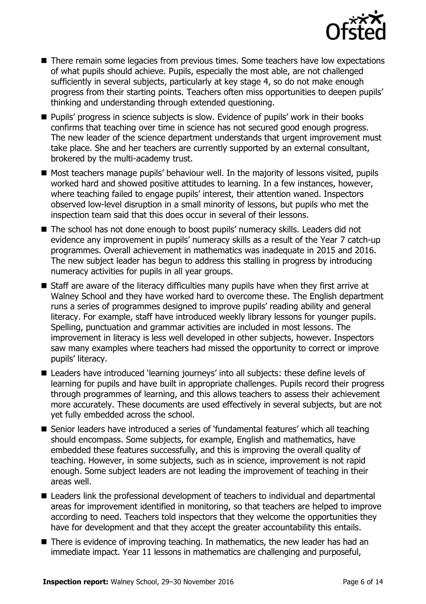

- There remain some legacies from previous times. Some teachers have low expectations of what pupils should achieve. Pupils, especially the most able, are not challenged sufficiently in several subjects, particularly at key stage 4, so do not make enough progress from their starting points. Teachers often miss opportunities to deepen pupils' thinking and understanding through extended questioning.
- **Pupils' progress in science subiects is slow. Evidence of pupils' work in their books** confirms that teaching over time in science has not secured good enough progress. The new leader of the science department understands that urgent improvement must take place. She and her teachers are currently supported by an external consultant, brokered by the multi-academy trust.
- Most teachers manage pupils' behaviour well. In the majority of lessons visited, pupils worked hard and showed positive attitudes to learning. In a few instances, however, where teaching failed to engage pupils' interest, their attention waned. Inspectors observed low-level disruption in a small minority of lessons, but pupils who met the inspection team said that this does occur in several of their lessons.
- The school has not done enough to boost pupils' numeracy skills. Leaders did not evidence any improvement in pupils' numeracy skills as a result of the Year 7 catch-up programmes. Overall achievement in mathematics was inadequate in 2015 and 2016. The new subject leader has begun to address this stalling in progress by introducing numeracy activities for pupils in all year groups.
- Staff are aware of the literacy difficulties many pupils have when they first arrive at Walney School and they have worked hard to overcome these. The English department runs a series of programmes designed to improve pupils' reading ability and general literacy. For example, staff have introduced weekly library lessons for younger pupils. Spelling, punctuation and grammar activities are included in most lessons. The improvement in literacy is less well developed in other subjects, however. Inspectors saw many examples where teachers had missed the opportunity to correct or improve pupils' literacy.
- Leaders have introduced 'learning journeys' into all subjects: these define levels of learning for pupils and have built in appropriate challenges. Pupils record their progress through programmes of learning, and this allows teachers to assess their achievement more accurately. These documents are used effectively in several subjects, but are not yet fully embedded across the school.
- Senior leaders have introduced a series of 'fundamental features' which all teaching should encompass. Some subjects, for example, English and mathematics, have embedded these features successfully, and this is improving the overall quality of teaching. However, in some subjects, such as in science, improvement is not rapid enough. Some subject leaders are not leading the improvement of teaching in their areas well.
- Leaders link the professional development of teachers to individual and departmental areas for improvement identified in monitoring, so that teachers are helped to improve according to need. Teachers told inspectors that they welcome the opportunities they have for development and that they accept the greater accountability this entails.
- There is evidence of improving teaching. In mathematics, the new leader has had an immediate impact. Year 11 lessons in mathematics are challenging and purposeful,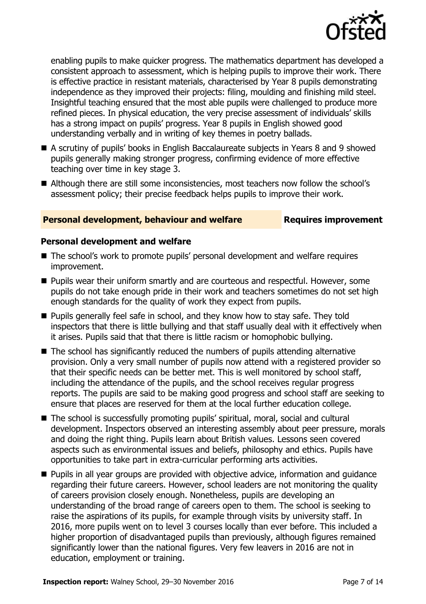

enabling pupils to make quicker progress. The mathematics department has developed a consistent approach to assessment, which is helping pupils to improve their work. There is effective practice in resistant materials, characterised by Year 8 pupils demonstrating independence as they improved their projects: filing, moulding and finishing mild steel. Insightful teaching ensured that the most able pupils were challenged to produce more refined pieces. In physical education, the very precise assessment of individuals' skills has a strong impact on pupils' progress. Year 8 pupils in English showed good understanding verbally and in writing of key themes in poetry ballads.

- A scrutiny of pupils' books in English Baccalaureate subjects in Years 8 and 9 showed pupils generally making stronger progress, confirming evidence of more effective teaching over time in key stage 3.
- Although there are still some inconsistencies, most teachers now follow the school's assessment policy; their precise feedback helps pupils to improve their work.

### **Personal development, behaviour and welfare <b>Requires improvement**

### **Personal development and welfare**

- The school's work to promote pupils' personal development and welfare requires improvement.
- **Pupils wear their uniform smartly and are courteous and respectful. However, some** pupils do not take enough pride in their work and teachers sometimes do not set high enough standards for the quality of work they expect from pupils.
- Pupils generally feel safe in school, and they know how to stay safe. They told inspectors that there is little bullying and that staff usually deal with it effectively when it arises. Pupils said that that there is little racism or homophobic bullying.
- The school has significantly reduced the numbers of pupils attending alternative provision. Only a very small number of pupils now attend with a registered provider so that their specific needs can be better met. This is well monitored by school staff, including the attendance of the pupils, and the school receives regular progress reports. The pupils are said to be making good progress and school staff are seeking to ensure that places are reserved for them at the local further education college.
- The school is successfully promoting pupils' spiritual, moral, social and cultural development. Inspectors observed an interesting assembly about peer pressure, morals and doing the right thing. Pupils learn about British values. Lessons seen covered aspects such as environmental issues and beliefs, philosophy and ethics. Pupils have opportunities to take part in extra-curricular performing arts activities.
- **Pupils in all year groups are provided with objective advice, information and quidance** regarding their future careers. However, school leaders are not monitoring the quality of careers provision closely enough. Nonetheless, pupils are developing an understanding of the broad range of careers open to them. The school is seeking to raise the aspirations of its pupils, for example through visits by university staff. In 2016, more pupils went on to level 3 courses locally than ever before. This included a higher proportion of disadvantaged pupils than previously, although figures remained significantly lower than the national figures. Very few leavers in 2016 are not in education, employment or training.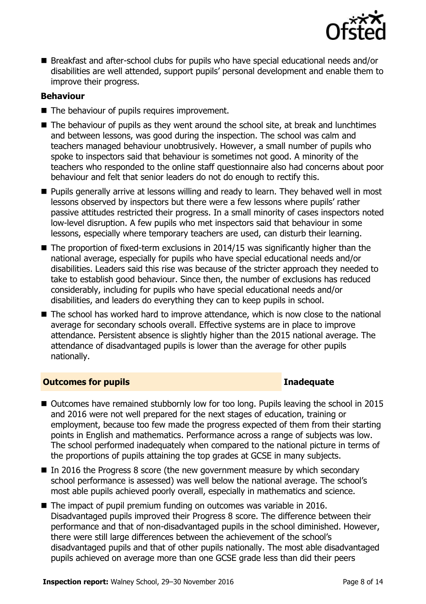

■ Breakfast and after-school clubs for pupils who have special educational needs and/or disabilities are well attended, support pupils' personal development and enable them to improve their progress.

### **Behaviour**

- The behaviour of pupils requires improvement.
- The behaviour of pupils as they went around the school site, at break and lunchtimes and between lessons, was good during the inspection. The school was calm and teachers managed behaviour unobtrusively. However, a small number of pupils who spoke to inspectors said that behaviour is sometimes not good. A minority of the teachers who responded to the online staff questionnaire also had concerns about poor behaviour and felt that senior leaders do not do enough to rectify this.
- **Pupils generally arrive at lessons willing and ready to learn. They behaved well in most** lessons observed by inspectors but there were a few lessons where pupils' rather passive attitudes restricted their progress. In a small minority of cases inspectors noted low-level disruption. A few pupils who met inspectors said that behaviour in some lessons, especially where temporary teachers are used, can disturb their learning.
- $\blacksquare$  The proportion of fixed-term exclusions in 2014/15 was significantly higher than the national average, especially for pupils who have special educational needs and/or disabilities. Leaders said this rise was because of the stricter approach they needed to take to establish good behaviour. Since then, the number of exclusions has reduced considerably, including for pupils who have special educational needs and/or disabilities, and leaders do everything they can to keep pupils in school.
- The school has worked hard to improve attendance, which is now close to the national average for secondary schools overall. Effective systems are in place to improve attendance. Persistent absence is slightly higher than the 2015 national average. The attendance of disadvantaged pupils is lower than the average for other pupils nationally.

### **Outcomes for pupils Inadequate**

- Outcomes have remained stubbornly low for too long. Pupils leaving the school in 2015 and 2016 were not well prepared for the next stages of education, training or employment, because too few made the progress expected of them from their starting points in English and mathematics. Performance across a range of subjects was low. The school performed inadequately when compared to the national picture in terms of the proportions of pupils attaining the top grades at GCSE in many subjects.
- In 2016 the Progress 8 score (the new government measure by which secondary school performance is assessed) was well below the national average. The school's most able pupils achieved poorly overall, especially in mathematics and science.
- The impact of pupil premium funding on outcomes was variable in 2016. Disadvantaged pupils improved their Progress 8 score. The difference between their performance and that of non-disadvantaged pupils in the school diminished. However, there were still large differences between the achievement of the school's disadvantaged pupils and that of other pupils nationally. The most able disadvantaged pupils achieved on average more than one GCSE grade less than did their peers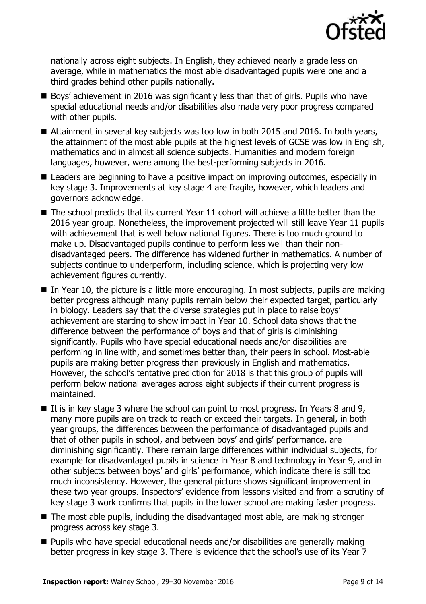

nationally across eight subjects. In English, they achieved nearly a grade less on average, while in mathematics the most able disadvantaged pupils were one and a third grades behind other pupils nationally.

- Boys' achievement in 2016 was significantly less than that of girls. Pupils who have special educational needs and/or disabilities also made very poor progress compared with other pupils.
- Attainment in several key subjects was too low in both 2015 and 2016. In both years, the attainment of the most able pupils at the highest levels of GCSE was low in English, mathematics and in almost all science subjects. Humanities and modern foreign languages, however, were among the best-performing subjects in 2016.
- Leaders are beginning to have a positive impact on improving outcomes, especially in key stage 3. Improvements at key stage 4 are fragile, however, which leaders and governors acknowledge.
- The school predicts that its current Year 11 cohort will achieve a little better than the 2016 year group. Nonetheless, the improvement projected will still leave Year 11 pupils with achievement that is well below national figures. There is too much ground to make up. Disadvantaged pupils continue to perform less well than their nondisadvantaged peers. The difference has widened further in mathematics. A number of subjects continue to underperform, including science, which is projecting very low achievement figures currently.
- $\blacksquare$  In Year 10, the picture is a little more encouraging. In most subjects, pupils are making better progress although many pupils remain below their expected target, particularly in biology. Leaders say that the diverse strategies put in place to raise boys' achievement are starting to show impact in Year 10. School data shows that the difference between the performance of boys and that of girls is diminishing significantly. Pupils who have special educational needs and/or disabilities are performing in line with, and sometimes better than, their peers in school. Most-able pupils are making better progress than previously in English and mathematics. However, the school's tentative prediction for 2018 is that this group of pupils will perform below national averages across eight subjects if their current progress is maintained.
- If is in key stage 3 where the school can point to most progress. In Years 8 and 9, many more pupils are on track to reach or exceed their targets. In general, in both year groups, the differences between the performance of disadvantaged pupils and that of other pupils in school, and between boys' and girls' performance, are diminishing significantly. There remain large differences within individual subjects, for example for disadvantaged pupils in science in Year 8 and technology in Year 9, and in other subjects between boys' and girls' performance, which indicate there is still too much inconsistency. However, the general picture shows significant improvement in these two year groups. Inspectors' evidence from lessons visited and from a scrutiny of key stage 3 work confirms that pupils in the lower school are making faster progress.
- The most able pupils, including the disadvantaged most able, are making stronger progress across key stage 3.
- Pupils who have special educational needs and/or disabilities are generally making better progress in key stage 3. There is evidence that the school's use of its Year 7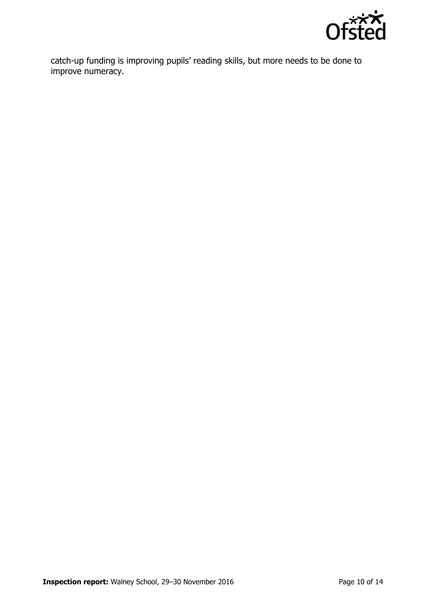

catch-up funding is improving pupils' reading skills, but more needs to be done to improve numeracy.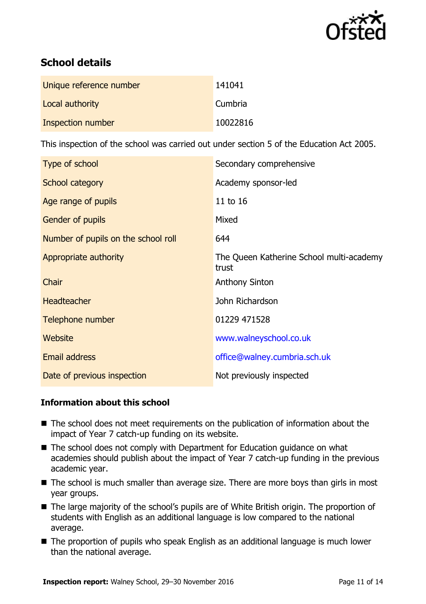

# **School details**

| Unique reference number | 141041   |
|-------------------------|----------|
| Local authority         | Cumbria  |
| Inspection number       | 10022816 |

This inspection of the school was carried out under section 5 of the Education Act 2005.

| Type of school                      | Secondary comprehensive                           |
|-------------------------------------|---------------------------------------------------|
| School category                     | Academy sponsor-led                               |
| Age range of pupils                 | 11 to 16                                          |
| Gender of pupils                    | Mixed                                             |
| Number of pupils on the school roll | 644                                               |
| Appropriate authority               | The Queen Katherine School multi-academy<br>trust |
| Chair                               | <b>Anthony Sinton</b>                             |
| <b>Headteacher</b>                  | John Richardson                                   |
| Telephone number                    | 01229 471528                                      |
| Website                             | www.walneyschool.co.uk                            |
| <b>Email address</b>                | office@walney.cumbria.sch.uk                      |
| Date of previous inspection         | Not previously inspected                          |

### **Information about this school**

- The school does not meet requirements on the publication of information about the impact of Year 7 catch-up funding on its website.
- The school does not comply with Department for Education guidance on what academies should publish about the impact of Year 7 catch-up funding in the previous academic year.
- The school is much smaller than average size. There are more boys than girls in most year groups.
- The large majority of the school's pupils are of White British origin. The proportion of students with English as an additional language is low compared to the national average.
- The proportion of pupils who speak English as an additional language is much lower than the national average.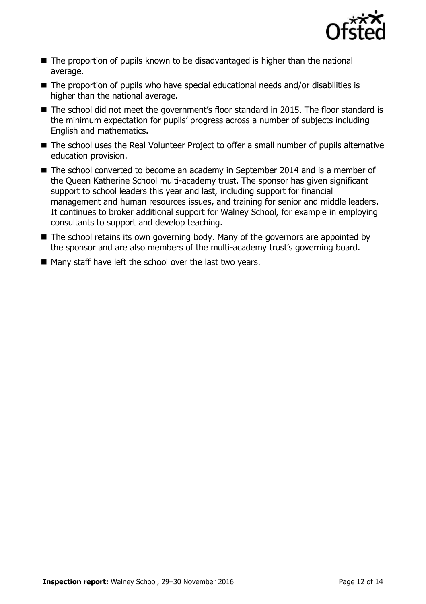

- The proportion of pupils known to be disadvantaged is higher than the national average.
- The proportion of pupils who have special educational needs and/or disabilities is higher than the national average.
- The school did not meet the government's floor standard in 2015. The floor standard is the minimum expectation for pupils' progress across a number of subjects including English and mathematics.
- The school uses the Real Volunteer Project to offer a small number of pupils alternative education provision.
- The school converted to become an academy in September 2014 and is a member of the Queen Katherine School multi-academy trust. The sponsor has given significant support to school leaders this year and last, including support for financial management and human resources issues, and training for senior and middle leaders. It continues to broker additional support for Walney School, for example in employing consultants to support and develop teaching.
- The school retains its own governing body. Many of the governors are appointed by the sponsor and are also members of the multi-academy trust's governing board.
- Many staff have left the school over the last two years.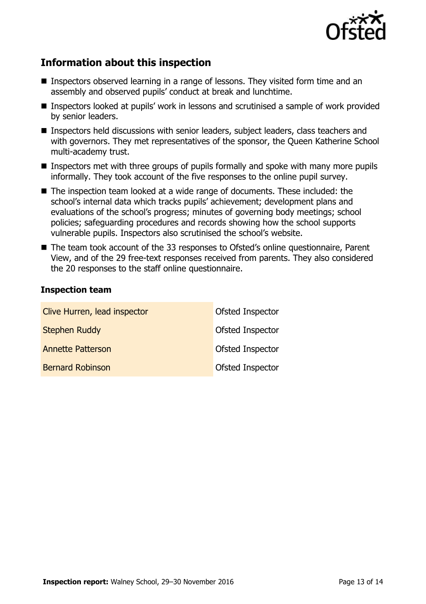

# **Information about this inspection**

- Inspectors observed learning in a range of lessons. They visited form time and an assembly and observed pupils' conduct at break and lunchtime.
- Inspectors looked at pupils' work in lessons and scrutinised a sample of work provided by senior leaders.
- Inspectors held discussions with senior leaders, subject leaders, class teachers and with governors. They met representatives of the sponsor, the Queen Katherine School multi-academy trust.
- **Inspectors met with three groups of pupils formally and spoke with many more pupils** informally. They took account of the five responses to the online pupil survey.
- The inspection team looked at a wide range of documents. These included: the school's internal data which tracks pupils' achievement; development plans and evaluations of the school's progress; minutes of governing body meetings; school policies; safeguarding procedures and records showing how the school supports vulnerable pupils. Inspectors also scrutinised the school's website.
- The team took account of the 33 responses to Ofsted's online questionnaire, Parent View, and of the 29 free-text responses received from parents. They also considered the 20 responses to the staff online questionnaire.

### **Inspection team**

| Clive Hurren, lead inspector | Ofsted Inspector        |
|------------------------------|-------------------------|
| <b>Stephen Ruddy</b>         | <b>Ofsted Inspector</b> |
| <b>Annette Patterson</b>     | Ofsted Inspector        |
| <b>Bernard Robinson</b>      | <b>Ofsted Inspector</b> |